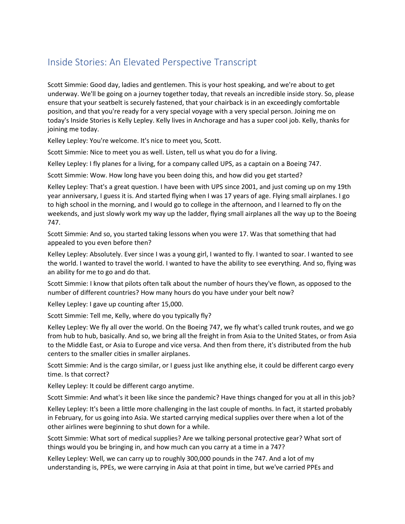## Inside Stories: An Elevated Perspective Transcript

Scott Simmie: Good day, ladies and gentlemen. This is your host speaking, and we're about to get underway. We'll be going on a journey together today, that reveals an incredible inside story. So, please ensure that your seatbelt is securely fastened, that your chairback is in an exceedingly comfortable position, and that you're ready for a very special voyage with a very special person. Joining me on today's Inside Stories is Kelly Lepley. Kelly lives in Anchorage and has a super cool job. Kelly, thanks for joining me today.

Kelley Lepley: You're welcome. It's nice to meet you, Scott.

Scott Simmie: Nice to meet you as well. Listen, tell us what you do for a living.

Kelley Lepley: I fly planes for a living, for a company called UPS, as a captain on a Boeing 747.

Scott Simmie: Wow. How long have you been doing this, and how did you get started?

 weekends, and just slowly work my way up the ladder, flying small airplanes all the way up to the Boeing Kelley Lepley: That's a great question. I have been with UPS since 2001, and just coming up on my 19th year anniversary, I guess it is. And started flying when I was 17 years of age. Flying small airplanes. I go to high school in the morning, and I would go to college in the afternoon, and I learned to fly on the 747.

 Scott Simmie: And so, you started taking lessons when you were 17. Was that something that had appealed to you even before then?

Kelley Lepley: Absolutely. Ever since I was a young girl, I wanted to fly. I wanted to soar. I wanted to see the world. I wanted to travel the world. I wanted to have the ability to see everything. And so, flying was an ability for me to go and do that.

Scott Simmie: I know that pilots often talk about the number of hours they've flown, as opposed to the number of different countries? How many hours do you have under your belt now?

Kelley Lepley: I gave up counting after 15,000.

Scott Simmie: Tell me, Kelly, where do you typically fly?

 Kelley Lepley: We fly all over the world. On the Boeing 747, we fly what's called trunk routes, and we go to the Middle East, or Asia to Europe and vice versa. And then from there, it's distributed from the hub from hub to hub, basically. And so, we bring all the freight in from Asia to the United States, or from Asia centers to the smaller cities in smaller airplanes.

Scott Simmie: And is the cargo similar, or I guess just like anything else, it could be different cargo every time. Is that correct?

Kelley Lepley: It could be different cargo anytime.

Scott Simmie: And what's it been like since the pandemic? Have things changed for you at all in this job?

Kelley Lepley: It's been a little more challenging in the last couple of months. In fact, it started probably in February, for us going into Asia. We started carrying medical supplies over there when a lot of the other airlines were beginning to shut down for a while.

Scott Simmie: What sort of medical supplies? Are we talking personal protective gear? What sort of things would you be bringing in, and how much can you carry at a time in a 747?

 Kelley Lepley: Well, we can carry up to roughly 300,000 pounds in the 747. And a lot of my understanding is, PPEs, we were carrying in Asia at that point in time, but we've carried PPEs and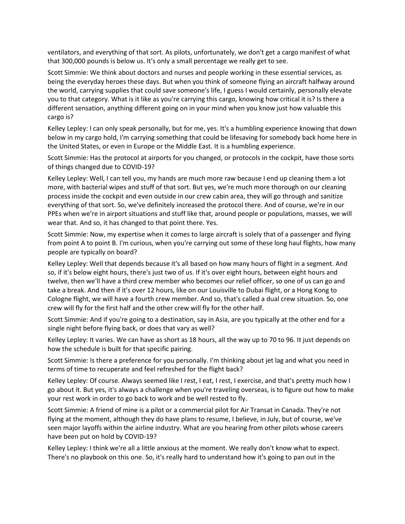that 300,000 pounds is below us. It's only a small percentage we really get to see. ventilators, and everything of that sort. As pilots, unfortunately, we don't get a cargo manifest of what

 the world, carrying supplies that could save someone's life, I guess I would certainly, personally elevate you to that category. What is it like as you're carrying this cargo, knowing how critical it is? Is there a Scott Simmie: We think about doctors and nurses and people working in these essential services, as being the everyday heroes these days. But when you think of someone flying an aircraft halfway around different sensation, anything different going on in your mind when you know just how valuable this cargo is?

Kelley Lepley: I can only speak personally, but for me, yes. It's a humbling experience knowing that down below in my cargo hold, I'm carrying something that could be lifesaving for somebody back home here in the United States, or even in Europe or the Middle East. It is a humbling experience.

Scott Simmie: Has the protocol at airports for you changed, or protocols in the cockpit, have those sorts of things changed due to COVID-19?

Kelley Lepley: Well, I can tell you, my hands are much more raw because I end up cleaning them a lot more, with bacterial wipes and stuff of that sort. But yes, we're much more thorough on our cleaning process inside the cockpit and even outside in our crew cabin area, they will go through and sanitize everything of that sort. So, we've definitely increased the protocol there. And of course, we're in our PPEs when we're in airport situations and stuff like that, around people or populations, masses, we will wear that. And so, it has changed to that point there. Yes.

Scott Simmie: Now, my expertise when it comes to large aircraft is solely that of a passenger and flying from point A to point B. I'm curious, when you're carrying out some of these long haul flights, how many people are typically on board?

 take a break. And then if it's over 12 hours, like on our Louisville to Dubai flight, or a Hong Kong to Kelley Lepley: Well that depends because it's all based on how many hours of flight in a segment. And so, if it's below eight hours, there's just two of us. If it's over eight hours, between eight hours and twelve, then we'll have a third crew member who becomes our relief officer, so one of us can go and Cologne flight, we will have a fourth crew member. And so, that's called a dual crew situation. So, one crew will fly for the first half and the other crew will fly for the other half.

Scott Simmie: And if you're going to a destination, say in Asia, are you typically at the other end for a single night before flying back, or does that vary as well?

 Kelley Lepley: It varies. We can have as short as 18 hours, all the way up to 70 to 96. It just depends on how the schedule is built for that specific pairing.

Scott Simmie: Is there a preference for you personally. I'm thinking about jet lag and what you need in terms of time to recuperate and feel refreshed for the flight back?

 Kelley Lepley: Of course. Always seemed like I rest, I eat, I rest, I exercise, and that's pretty much how I go about it. But yes, it's always a challenge when you're traveling overseas, is to figure out how to make your rest work in order to go back to work and be well rested to fly.

Scott Simmie: A friend of mine is a pilot or a commercial pilot for Air Transat in Canada. They're not flying at the moment, although they do have plans to resume, I believe, in July, but of course, we've seen major layoffs within the airline industry. What are you hearing from other pilots whose careers have been put on hold by COVID-19?

 There's no playbook on this one. So, it's really hard to understand how it's going to pan out in the Kelley Lepley: I think we're all a little anxious at the moment. We really don't know what to expect.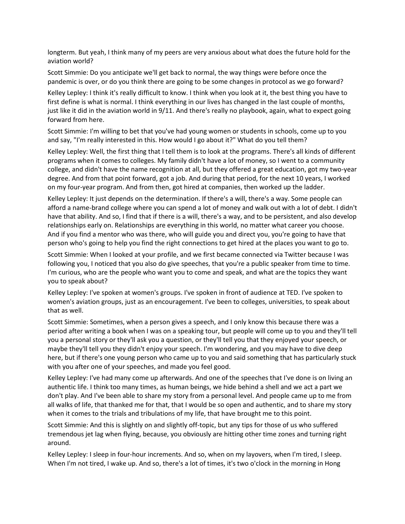longterm. But yeah, I think many of my peers are very anxious about what does the future hold for the aviation world?

Scott Simmie: Do you anticipate we'll get back to normal, the way things were before once the pandemic is over, or do you think there are going to be some changes in protocol as we go forward?

 Kelley Lepley: I think it's really difficult to know. I think when you look at it, the best thing you have to first define is what is normal. I think everything in our lives has changed in the last couple of months, just like it did in the aviation world in 9/11. And there's really no playbook, again, what to expect going forward from here.

 Scott Simmie: I'm willing to bet that you've had young women or students in schools, come up to you and say, "I'm really interested in this. How would I go about it?" What do you tell them?

Kelley Lepley: Well, the first thing that I tell them is to look at the programs. There's all kinds of different programs when it comes to colleges. My family didn't have a lot of money, so I went to a community college, and didn't have the name recognition at all, but they offered a great education, got my two-year degree. And from that point forward, got a job. And during that period, for the next 10 years, I worked on my four-year program. And from then, got hired at companies, then worked up the ladder.

Kelley Lepley: It just depends on the determination. If there's a will, there's a way. Some people can afford a name-brand college where you can spend a lot of money and walk out with a lot of debt. I didn't have that ability. And so, I find that if there is a will, there's a way, and to be persistent, and also develop relationships early on. Relationships are everything in this world, no matter what career you choose. And if you find a mentor who was there, who will guide you and direct you, you're going to have that person who's going to help you find the right connections to get hired at the places you want to go to.

 following you, I noticed that you also do give speeches, that you're a public speaker from time to time. you to speak about? Scott Simmie: When I looked at your profile, and we first became connected via Twitter because I was I'm curious, who are the people who want you to come and speak, and what are the topics they want

Kelley Lepley: I've spoken at women's groups. I've spoken in front of audience at TED. I've spoken to women's aviation groups, just as an encouragement. I've been to colleges, universities, to speak about that as well.

 here, but if there's one young person who came up to you and said something that has particularly stuck Scott Simmie: Sometimes, when a person gives a speech, and I only know this because there was a period after writing a book when I was on a speaking tour, but people will come up to you and they'll tell you a personal story or they'll ask you a question, or they'll tell you that they enjoyed your speech, or maybe they'll tell you they didn't enjoy your speech. I'm wondering, and you may have to dive deep with you after one of your speeches, and made you feel good.

 don't play. And I've been able to share my story from a personal level. And people came up to me from Kelley Lepley: I've had many come up afterwards. And one of the speeches that I've done is on living an authentic life. I think too many times, as human beings, we hide behind a shell and we act a part we all walks of life, that thanked me for that, that I would be so open and authentic, and to share my story when it comes to the trials and tribulations of my life, that have brought me to this point.

 Scott Simmie: And this is slightly on and slightly off-topic, but any tips for those of us who suffered tremendous jet lag when flying, because, you obviously are hitting other time zones and turning right around.

 When I'm not tired, I wake up. And so, there's a lot of times, it's two o'clock in the morning in Hong Kelley Lepley: I sleep in four-hour increments. And so, when on my layovers, when I'm tired, I sleep.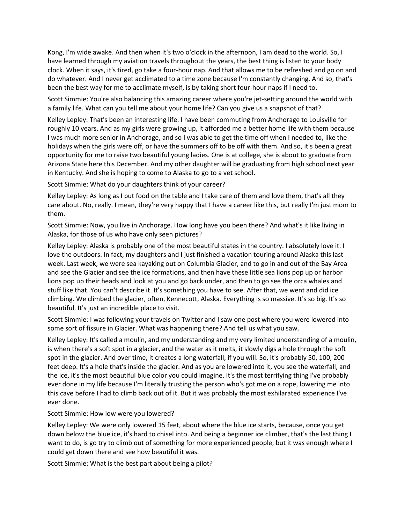have learned through my aviation travels throughout the years, the best thing is listen to your body clock. When it says, it's tired, go take a four-hour nap. And that allows me to be refreshed and go on and been the best way for me to acclimate myself, is by taking short four-hour naps if I need to. Kong, I'm wide awake. And then when it's two o'clock in the afternoon, I am dead to the world. So, I do whatever. And I never get acclimated to a time zone because I'm constantly changing. And so, that's

 a family life. What can you tell me about your home life? Can you give us a snapshot of that? Scott Simmie: You're also balancing this amazing career where you're jet-setting around the world with

 holidays when the girls were off, or have the summers off to be off with them. And so, it's been a great in Kentucky. And she is hoping to come to Alaska to go to a vet school. Kelley Lepley: That's been an interesting life. I have been commuting from Anchorage to Louisville for roughly 10 years. And as my girls were growing up, it afforded me a better home life with them because I was much more senior in Anchorage, and so I was able to get the time off when I needed to, like the opportunity for me to raise two beautiful young ladies. One is at college, she is about to graduate from Arizona State here this December. And my other daughter will be graduating from high school next year

Scott Simmie: What do your daughters think of your career?

 care about. No, really. I mean, they're very happy that I have a career like this, but really I'm just mom to Kelley Lepley: As long as I put food on the table and I take care of them and love them, that's all they them.

 Scott Simmie: Now, you live in Anchorage. How long have you been there? And what's it like living in Alaska, for those of us who have only seen pictures?

 and see the Glacier and see the ice formations, and then have these little sea lions pop up or harbor Kelley Lepley: Alaska is probably one of the most beautiful states in the country. I absolutely love it. I love the outdoors. In fact, my daughters and I just finished a vacation touring around Alaska this last week. Last week, we were sea kayaking out on Columbia Glacier, and to go in and out of the Bay Area lions pop up their heads and look at you and go back under, and then to go see the orca whales and stuff like that. You can't describe it. It's something you have to see. After that, we went and did ice climbing. We climbed the glacier, often, Kennecott, Alaska. Everything is so massive. It's so big. It's so beautiful. It's just an incredible place to visit.

Scott Simmie: I was following your travels on Twitter and I saw one post where you were lowered into some sort of fissure in Glacier. What was happening there? And tell us what you saw.

 ever done in my life because I'm literally trusting the person who's got me on a rope, lowering me into Kelley Lepley: It's called a moulin, and my understanding and my very limited understanding of a moulin, is when there's a soft spot in a glacier, and the water as it melts, it slowly digs a hole through the soft spot in the glacier. And over time, it creates a long waterfall, if you will. So, it's probably 50, 100, 200 feet deep. It's a hole that's inside the glacier. And as you are lowered into it, you see the waterfall, and the ice, it's the most beautiful blue color you could imagine. It's the most terrifying thing I've probably this cave before I had to climb back out of it. But it was probably the most exhilarated experience I've ever done.

Scott Simmie: How low were you lowered?

 want to do, is go try to climb out of something for more experienced people, but it was enough where I Kelley Lepley: We were only lowered 15 feet, about where the blue ice starts, because, once you get down below the blue ice, it's hard to chisel into. And being a beginner ice climber, that's the last thing I could get down there and see how beautiful it was.

Scott Simmie: What is the best part about being a pilot?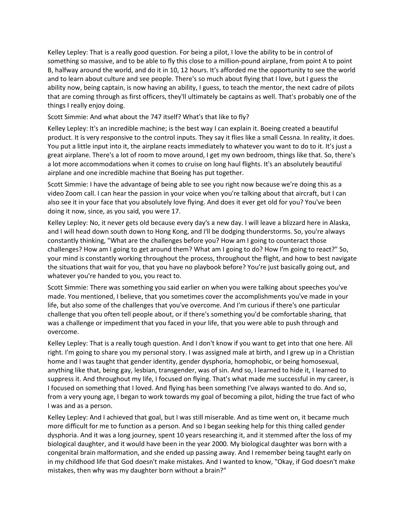B, halfway around the world, and do it in 10, 12 hours. It's afforded me the opportunity to see the world Kelley Lepley: That is a really good question. For being a pilot, I love the ability to be in control of something so massive, and to be able to fly this close to a million-pound airplane, from point A to point and to learn about culture and see people. There's so much about flying that I love, but I guess the ability now, being captain, is now having an ability, I guess, to teach the mentor, the next cadre of pilots that are coming through as first officers, they'll ultimately be captains as well. That's probably one of the things I really enjoy doing.

Scott Simmie: And what about the 747 itself? What's that like to fly?

Kelley Lepley: It's an incredible machine; is the best way I can explain it. Boeing created a beautiful product. It is very responsive to the control inputs. They say it flies like a small Cessna. In reality, it does. You put a little input into it, the airplane reacts immediately to whatever you want to do to it. It's just a great airplane. There's a lot of room to move around, I get my own bedroom, things like that. So, there's a lot more accommodations when it comes to cruise on long haul flights. It's an absolutely beautiful airplane and one incredible machine that Boeing has put together.

 Scott Simmie: I have the advantage of being able to see you right now because we're doing this as a video Zoom call. I can hear the passion in your voice when you're talking about that aircraft, but I can also see it in your face that you absolutely love flying. And does it ever get old for you? You've been doing it now, since, as you said, you were 17.

Kelley Lepley: No, it never gets old because every day's a new day. I will leave a blizzard here in Alaska, and I will head down south down to Hong Kong, and I'll be dodging thunderstorms. So, you're always constantly thinking, "What are the challenges before you? How am I going to counteract those challenges? How am I going to get around them? What am I going to do? How I'm going to react?" So, your mind is constantly working throughout the process, throughout the flight, and how to best navigate the situations that wait for you, that you have no playbook before? You're just basically going out, and whatever you're handed to you, you react to.

 Scott Simmie: There was something you said earlier on when you were talking about speeches you've challenge that you often tell people about, or if there's something you'd be comfortable sharing, that made. You mentioned, I believe, that you sometimes cover the accomplishments you've made in your life, but also some of the challenges that you've overcome. And I'm curious if there's one particular was a challenge or impediment that you faced in your life, that you were able to push through and overcome.

 Kelley Lepley: That is a really tough question. And I don't know if you want to get into that one here. All right. I'm going to share you my personal story. I was assigned male at birth, and I grew up in a Christian from a very young age, I began to work towards my goal of becoming a pilot, hiding the true fact of who home and I was taught that gender identity, gender dysphoria, homophobic, or being homosexual, anything like that, being gay, lesbian, transgender, was of sin. And so, I learned to hide it, I learned to suppress it. And throughout my life, I focused on flying. That's what made me successful in my career, is I focused on something that I loved. And flying has been something I've always wanted to do. And so, I was and as a person.

 congenital brain malformation, and she ended up passing away. And I remember being taught early on in my childhood life that God doesn't make mistakes. And I wanted to know, "Okay, if God doesn't make Kelley Lepley: And I achieved that goal, but I was still miserable. And as time went on, it became much more difficult for me to function as a person. And so I began seeking help for this thing called gender dysphoria. And it was a long journey, spent 10 years researching it, and it stemmed after the loss of my biological daughter, and it would have been in the year 2000. My biological daughter was born with a mistakes, then why was my daughter born without a brain?"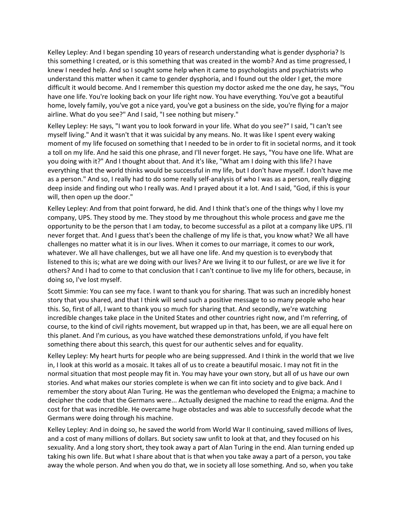Kelley Lepley: And I began spending 10 years of research understanding what is gender dysphoria? Is this something I created, or is this something that was created in the womb? And as time progressed, I knew I needed help. And so I sought some help when it came to psychologists and psychiatrists who understand this matter when it came to gender dysphoria, and I found out the older I get, the more difficult it would become. And I remember this question my doctor asked me the one day, he says, "You have one life. You're looking back on your life right now. You have everything. You've got a beautiful home, lovely family, you've got a nice yard, you've got a business on the side, you're flying for a major airline. What do you see?" And I said, "I see nothing but misery."

 will, then open up the door." Kelley Lepley: He says, "I want you to look forward in your life. What do you see?" I said, "I can't see myself living." And it wasn't that it was suicidal by any means. No. It was like I spent every waking moment of my life focused on something that I needed to be in order to fit in societal norms, and it took a toll on my life. And he said this one phrase, and I'll never forget. He says, "You have one life. What are you doing with it?" And I thought about that. And it's like, "What am I doing with this life? I have everything that the world thinks would be successful in my life, but I don't have myself. I don't have me as a person." And so, I really had to do some really self-analysis of who I was as a person, really digging deep inside and finding out who I really was. And I prayed about it a lot. And I said, "God, if this is your

 company, UPS. They stood by me. They stood by me throughout this whole process and gave me the others? And I had to come to that conclusion that I can't continue to live my life for others, because, in Kelley Lepley: And from that point forward, he did. And I think that's one of the things why I love my opportunity to be the person that I am today, to become successful as a pilot at a company like UPS. I'll never forget that. And I guess that's been the challenge of my life is that, you know what? We all have challenges no matter what it is in our lives. When it comes to our marriage, it comes to our work, whatever. We all have challenges, but we all have one life. And my question is to everybody that listened to this is; what are we doing with our lives? Are we living it to our fullest, or are we live it for doing so, I've lost myself.

Scott Simmie: You can see my face. I want to thank you for sharing. That was such an incredibly honest story that you shared, and that I think will send such a positive message to so many people who hear this. So, first of all, I want to thank you so much for sharing that. And secondly, we're watching incredible changes take place in the United States and other countries right now, and I'm referring, of course, to the kind of civil rights movement, but wrapped up in that, has been, we are all equal here on this planet. And I'm curious, as you have watched these demonstrations unfold, if you have felt something there about this search, this quest for our authentic selves and for equality.

 in, I look at this world as a mosaic. It takes all of us to create a beautiful mosaic. I may not fit in the Kelley Lepley: My heart hurts for people who are being suppressed. And I think in the world that we live normal situation that most people may fit in. You may have your own story, but all of us have our own stories. And what makes our stories complete is when we can fit into society and to give back. And I remember the story about Alan Turing. He was the gentleman who developed the Enigma; a machine to decipher the code that the Germans were... Actually designed the machine to read the enigma. And the cost for that was incredible. He overcame huge obstacles and was able to successfully decode what the Germans were doing through his machine.

 away the whole person. And when you do that, we in society all lose something. And so, when you take Kelley Lepley: And in doing so, he saved the world from World War II continuing, saved millions of lives, and a cost of many millions of dollars. But society saw unfit to look at that, and they focused on his sexuality. And a long story short, they took away a part of Alan Turing in the end. Alan turning ended up taking his own life. But what I share about that is that when you take away a part of a person, you take